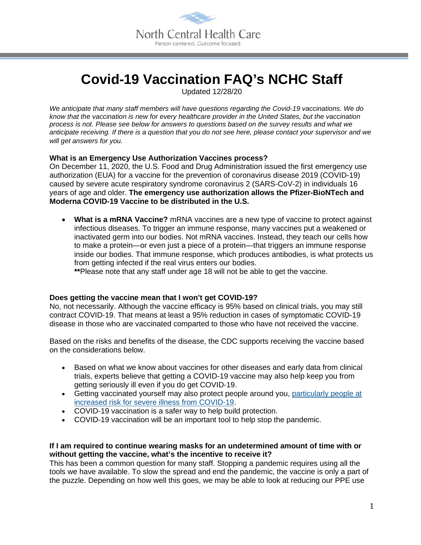

# **Covid-19 Vaccination FAQ's NCHC Staff**

Updated 12/28/20

*We anticipate that many staff members will have questions regarding the Covid-19 vaccinations. We do know that the vaccination is new for every healthcare provider in the United States, but the vaccination process is not. Please see below for answers to questions based on the survey results and what we anticipate receiving. If there is a question that you do not see here, please contact your supervisor and we will get answers for you.*

### **What is an Emergency Use Authorization Vaccines process?**

On December 11, 2020, the U.S. Food and Drug Administration issued the first emergency use authorization (EUA) for a vaccine for the prevention of coronavirus disease 2019 (COVID-19) caused by severe acute respiratory syndrome coronavirus 2 (SARS-CoV-2) in individuals 16 years of age and older. **The emergency use authorization allows the Pfizer-BioNTech and Moderna COVID-19 Vaccine to be distributed in the U.S.**

• **What is a mRNA Vaccine?** mRNA vaccines are a new type of vaccine to protect against infectious diseases. To trigger an immune response, many vaccines put a weakened or inactivated germ into our bodies. Not mRNA vaccines. Instead, they teach our cells how to make a protein—or even just a piece of a protein—that triggers an immune response inside our bodies. That immune response, which produces antibodies, is what protects us from getting infected if the real virus enters our bodies.

**\*\***Please note that any staff under age 18 will not be able to get the vaccine.

### **Does getting the vaccine mean that I won't get COVID-19?**

No, not necessarily. Although the vaccine efficacy is 95% based on clinical trials, you may still contract COVID-19. That means at least a 95% reduction in cases of symptomatic COVID-19 disease in those who are vaccinated comparted to those who have not received the vaccine.

Based on the risks and benefits of the disease, the CDC supports receiving the vaccine based on the considerations below.

- Based on what we know about vaccines for other diseases and early data from clinical trials, experts believe that getting a COVID-19 vaccine may also help keep you from getting seriously ill even if you do get COVID-19.
- Getting vaccinated yourself may also protect people around you, [particularly people at](https://www.cdc.gov/coronavirus/2019-ncov/need-extra-precautions/index.html)  [increased risk for severe illness from COVID-19.](https://www.cdc.gov/coronavirus/2019-ncov/need-extra-precautions/index.html)
- COVID-19 vaccination is a safer way to help build protection.
- COVID-19 vaccination will be an important tool to help stop the pandemic.

### **If I am required to continue wearing masks for an undetermined amount of time with or without getting the vaccine, what's the incentive to receive it?**

This has been a common question for many staff. Stopping a pandemic requires using all the tools we have available. To slow the spread and end the pandemic, the vaccine is only a part of the puzzle. Depending on how well this goes, we may be able to look at reducing our PPE use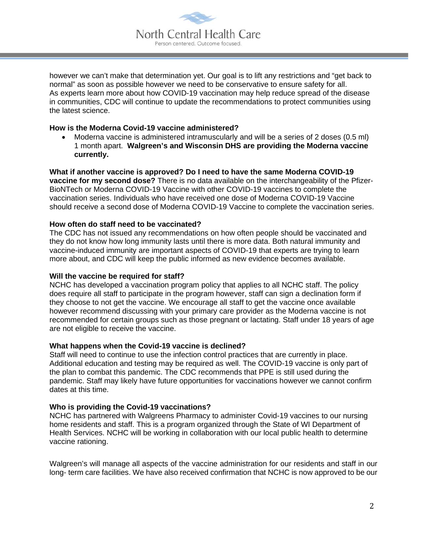

however we can't make that determination yet. Our goal is to lift any restrictions and "get back to normal" as soon as possible however we need to be conservative to ensure safety for all. As experts learn more about how COVID-19 vaccination may help reduce spread of the disease in communities, CDC will continue to update the recommendations to protect communities using the latest science.

#### **How is the Moderna Covid-19 vaccine administered?**

• Moderna vaccine is administered intramuscularly and will be a series of 2 doses (0.5 ml) 1 month apart. **Walgreen's and Wisconsin DHS are providing the Moderna vaccine currently.** 

## **What if another vaccine is approved? Do I need to have the same Moderna COVID-19 vaccine for my second dose?** There is no data available on the interchangeability of the Pfizer-

BioNTech or Moderna COVID-19 Vaccine with other COVID-19 vaccines to complete the vaccination series. Individuals who have received one dose of Moderna COVID-19 Vaccine should receive a second dose of Moderna COVID-19 Vaccine to complete the vaccination series.

### **How often do staff need to be vaccinated?**

The CDC has not issued any recommendations on how often people should be vaccinated and they do not know how long immunity lasts until there is more data. Both natural immunity and vaccine-induced immunity are important aspects of COVID-19 that experts are trying to learn more about, and CDC will keep the public informed as new evidence becomes available.

### **Will the vaccine be required for staff?**

NCHC has developed a vaccination program policy that applies to all NCHC staff. The policy does require all staff to participate in the program however, staff can sign a declination form if they choose to not get the vaccine. We encourage all staff to get the vaccine once available however recommend discussing with your primary care provider as the Moderna vaccine is not recommended for certain groups such as those pregnant or lactating. Staff under 18 years of age are not eligible to receive the vaccine.

### **What happens when the Covid-19 vaccine is declined?**

Staff will need to continue to use the infection control practices that are currently in place. Additional education and testing may be required as well. The COVID-19 vaccine is only part of the plan to combat this pandemic. The CDC recommends that PPE is still used during the pandemic. Staff may likely have future opportunities for vaccinations however we cannot confirm dates at this time.

### **Who is providing the Covid-19 vaccinations?**

NCHC has partnered with Walgreens Pharmacy to administer Covid-19 vaccines to our nursing home residents and staff. This is a program organized through the State of WI Department of Health Services. NCHC will be working in collaboration with our local public health to determine vaccine rationing.

Walgreen's will manage all aspects of the vaccine administration for our residents and staff in our long- term care facilities. We have also received confirmation that NCHC is now approved to be our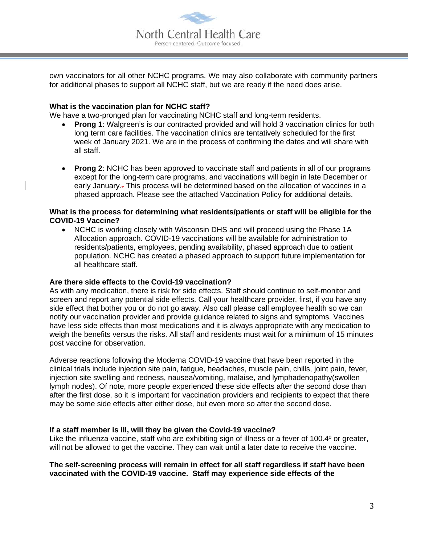

own vaccinators for all other NCHC programs. We may also collaborate with community partners for additional phases to support all NCHC staff, but we are ready if the need does arise.

#### **What is the vaccination plan for NCHC staff?**

We have a two-pronged plan for vaccinating NCHC staff and long-term residents.

- **Prong 1:** Walgreen's is our contracted provided and will hold 3 vaccination clinics for both long term care facilities. The vaccination clinics are tentatively scheduled for the first week of January 2021. We are in the process of confirming the dates and will share with all staff.
- **Prong 2**: NCHC has been approved to vaccinate staff and patients in all of our programs except for the long-term care programs, and vaccinations will begin in late December or early January.. This process will be determined based on the allocation of vaccines in a phased approach. Please see the attached Vaccination Policy for additional details.

#### **What is the process for determining what residents/patients or staff will be eligible for the COVID-19 Vaccine?**

• NCHC is working closely with Wisconsin DHS and will proceed using the Phase 1A Allocation approach. COVID-19 vaccinations will be available for administration to residents/patients, employees, pending availability, phased approach due to patient population. NCHC has created a phased approach to support future implementation for all healthcare staff.

#### **Are there side effects to the Covid-19 vaccination?**

As with any medication, there is risk for side effects. Staff should continue to self-monitor and screen and report any potential side effects. Call your healthcare provider, first, if you have any side effect that bother you or do not go away. Also call please call employee health so we can notify our vaccination provider and provide guidance related to signs and symptoms. Vaccines have less side effects than most medications and it is always appropriate with any medication to weigh the benefits versus the risks. All staff and residents must wait for a minimum of 15 minutes post vaccine for observation.

Adverse reactions following the Moderna COVID-19 vaccine that have been reported in the clinical trials include injection site pain, fatigue, headaches, muscle pain, chills, joint pain, fever, injection site swelling and redness, nausea/vomiting, malaise, and lymphadenopathy(swollen lymph nodes). Of note, more people experienced these side effects after the second dose than after the first dose, so it is important for vaccination providers and recipients to expect that there may be some side effects after either dose, but even more so after the second dose.

#### **If a staff member is ill, will they be given the Covid-19 vaccine?**

Like the influenza vaccine, staff who are exhibiting sign of illness or a fever of 100.4° or greater, will not be allowed to get the vaccine. They can wait until a later date to receive the vaccine.

#### **The self-screening process will remain in effect for all staff regardless if staff have been vaccinated with the COVID-19 vaccine. Staff may experience side effects of the**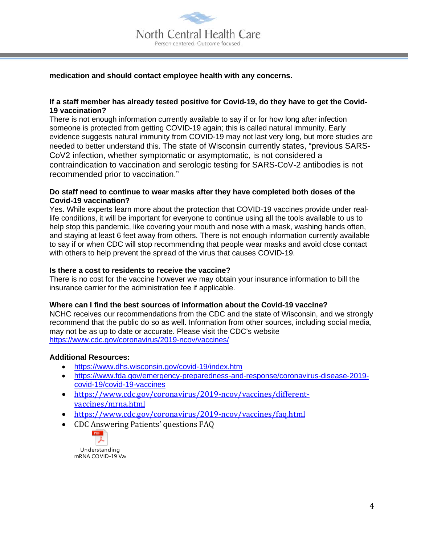

#### **medication and should contact employee health with any concerns.**

#### **If a staff member has already tested positive for Covid-19, do they have to get the Covid-19 vaccination?**

There is not enough information currently available to say if or for how long after infection someone is protected from getting COVID-19 again; this is called natural immunity. Early evidence suggests natural immunity from COVID-19 may not last very long, but more studies are needed to better understand this. The state of Wisconsin currently states, "previous SARS-CoV2 infection, whether symptomatic or asymptomatic, is not considered a contraindication to vaccination and serologic testing for SARS-CoV-2 antibodies is not recommended prior to vaccination."

#### **Do staff need to continue to wear masks after they have completed both doses of the Covid-19 vaccination?**

Yes. While experts learn more about the protection that COVID-19 vaccines provide under reallife conditions, it will be important for everyone to continue using all the tools available to us to help stop this pandemic, like covering your mouth and nose with a mask, washing hands often, and staying at least 6 feet away from others. There is not enough information currently available to say if or when CDC will stop recommending that people wear masks and avoid close contact with others to help prevent the spread of the virus that causes COVID-19.

#### **Is there a cost to residents to receive the vaccine?**

There is no cost for the vaccine however we may obtain your insurance information to bill the insurance carrier for the administration fee if applicable.

#### **Where can I find the best sources of information about the Covid-19 vaccine?**

NCHC receives our recommendations from the CDC and the state of Wisconsin, and we strongly recommend that the public do so as well. Information from other sources, including social media, may not be as up to date or accurate. Please visit the CDC's website <https://www.cdc.gov/coronavirus/2019-ncov/vaccines/>

#### **Additional Resources:**

- <https://www.dhs.wisconsin.gov/covid-19/index.htm>
- [https://www.fda.gov/emergency-preparedness-and-response/coronavirus-disease-2019](https://www.fda.gov/emergency-preparedness-and-response/coronavirus-disease-2019-covid-19/covid-19-vaccines) [covid-19/covid-19-vaccines](https://www.fda.gov/emergency-preparedness-and-response/coronavirus-disease-2019-covid-19/covid-19-vaccines)
- [https://www.cdc.gov/coronavirus/2019-ncov/vaccines/different](https://www.cdc.gov/coronavirus/2019-ncov/vaccines/different-vaccines/mrna.html)[vaccines/mrna.html](https://www.cdc.gov/coronavirus/2019-ncov/vaccines/different-vaccines/mrna.html)
- <https://www.cdc.gov/coronavirus/2019-ncov/vaccines/faq.html>
- CDC Answering Patients' questions FAQ